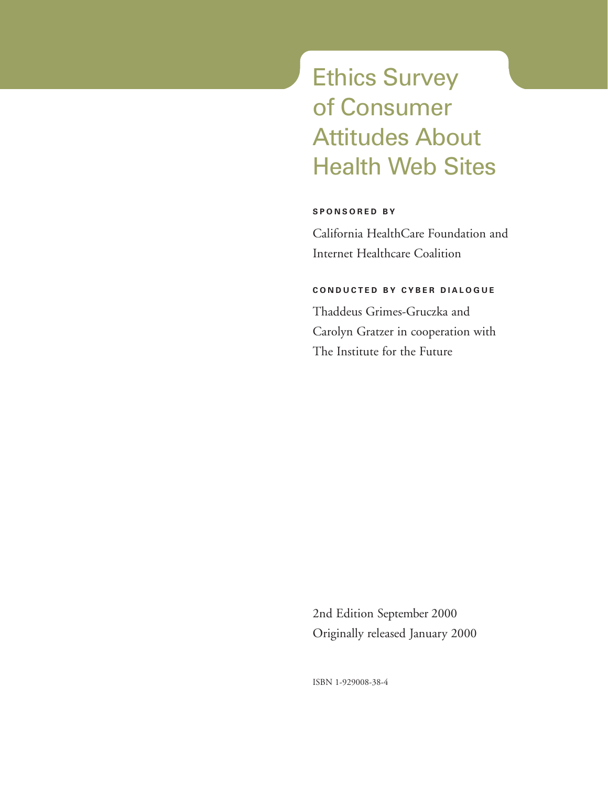# Ethics Survey of Consumer Attitudes About Health Web Sites

*e* **Health Reports**

#### **SPONSORED BY**

California HealthCare Foundation and Internet Healthcare Coalition

#### **CONDUCTED BY CYBER DIALOGUE**

Thaddeus Grimes-Gruczka and Carolyn Gratzer in cooperation with The Institute for the Future

2nd Edition September 2000 Originally released January 2000

ISBN 1-929008-38-4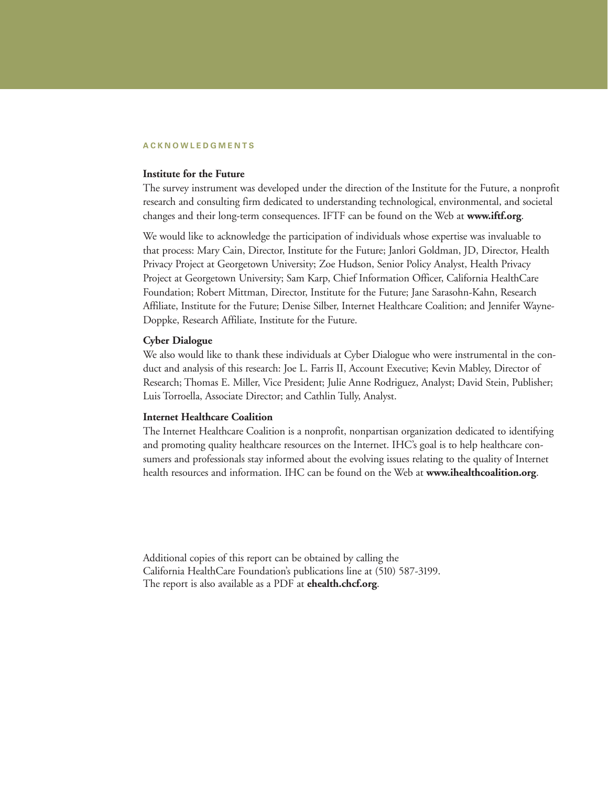#### **ACKNOWLEDGMENTS**

#### **Institute for the Future**

The survey instrument was developed under the direction of the Institute for the Future, a nonprofit research and consulting firm dedicated to understanding technological, environmental, and societal changes and their long-term consequences. IFTF can be found on the Web at **www.iftf.org**.

We would like to acknowledge the participation of individuals whose expertise was invaluable to that process: Mary Cain, Director, Institute for the Future; Janlori Goldman, JD, Director, Health Privacy Project at Georgetown University; Zoe Hudson, Senior Policy Analyst, Health Privacy Project at Georgetown University; Sam Karp, Chief Information Officer, California HealthCare Foundation; Robert Mittman, Director, Institute for the Future; Jane Sarasohn-Kahn, Research Affiliate, Institute for the Future; Denise Silber, Internet Healthcare Coalition; and Jennifer Wayne-Doppke, Research Affiliate, Institute for the Future.

#### **Cyber Dialogue**

We also would like to thank these individuals at Cyber Dialogue who were instrumental in the conduct and analysis of this research: Joe L. Farris II, Account Executive; Kevin Mabley, Director of Research; Thomas E. Miller, Vice President; Julie Anne Rodriguez, Analyst; David Stein, Publisher; Luis Torroella, Associate Director; and Cathlin Tully, Analyst.

#### **Internet Healthcare Coalition**

The Internet Healthcare Coalition is a nonprofit, nonpartisan organization dedicated to identifying and promoting quality healthcare resources on the Internet. IHC's goal is to help healthcare consumers and professionals stay informed about the evolving issues relating to the quality of Internet health resources and information. IHC can be found on the Web at **www.ihealthcoalition.org**.

Additional copies of this report can be obtained by calling the California HealthCare Foundation's publications line at (510) 587-3199. The report is also available as a PDF at **ehealth.chcf.org**.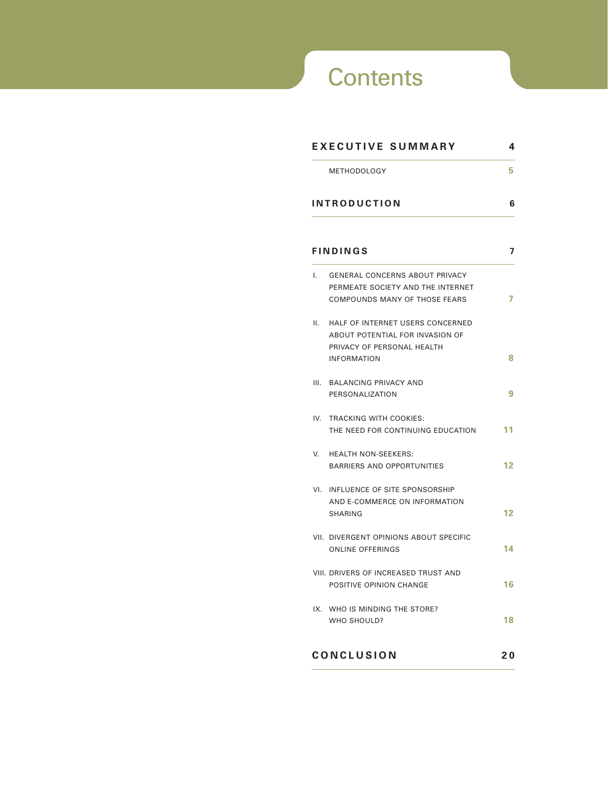# **Contents**

*e* **Health Reports**

|     | <b>METHODOLOGY</b>                                                                                                      | 5  |
|-----|-------------------------------------------------------------------------------------------------------------------------|----|
|     | <b>INTRODUCTION</b>                                                                                                     | 6  |
|     | <b>FINDINGS</b>                                                                                                         | 7  |
| Ι.  | <b>GENERAL CONCERNS ABOUT PRIVACY</b><br>PERMEATE SOCIETY AND THE INTERNET<br>COMPOUNDS MANY OF THOSE FEARS             | 7  |
| Н.  | HALF OF INTERNET USERS CONCERNED<br>ABOUT POTENTIAL FOR INVASION OF<br>PRIVACY OF PERSONAL HEALTH<br><b>INFORMATION</b> | 8  |
|     | III. BALANCING PRIVACY AND<br>PERSONALIZATION                                                                           | 9  |
| IV. | TRACKING WITH COOKIES:<br>THE NEED FOR CONTINUING EDUCATION                                                             | 11 |
| V.  | <b>HEALTH NON-SEEKERS:</b><br><b>BARRIERS AND OPPORTUNITIES</b>                                                         | 12 |
| VI. | INFLUENCE OF SITE SPONSORSHIP<br>AND E-COMMERCE ON INFORMATION<br><b>SHARING</b>                                        | 12 |
|     | VII. DIVERGENT OPINIONS ABOUT SPECIFIC<br><b>ONLINE OFFERINGS</b>                                                       | 14 |
|     | VIII. DRIVERS OF INCREASED TRUST AND<br>POSITIVE OPINION CHANGE                                                         | 16 |
|     | IX. WHO IS MINDING THE STORE?<br>WHO SHOULD?                                                                            | 18 |
|     | <b>CONCLUSION</b>                                                                                                       | 20 |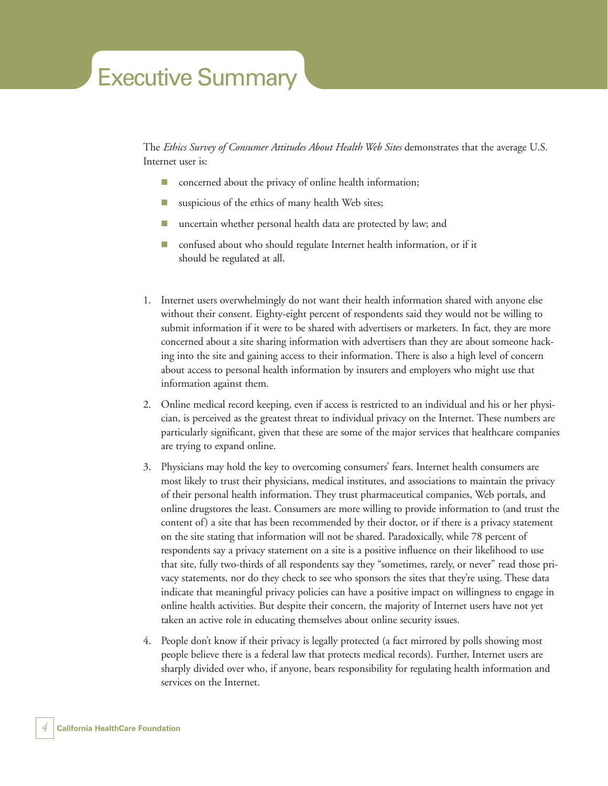# Executive Summary

The *Ethics Survey of Consumer Attitudes About Health Web Sites* demonstrates that the average U.S. Internet user is:

- concerned about the privacy of online health information;
- suspicious of the ethics of many health Web sites;
- uncertain whether personal health data are protected by law; and
- confused about who should regulate Internet health information, or if it should be regulated at all.
- 1. Internet users overwhelmingly do not want their health information shared with anyone else without their consent. Eighty-eight percent of respondents said they would not be willing to submit information if it were to be shared with advertisers or marketers. In fact, they are more concerned about a site sharing information with advertisers than they are about someone hacking into the site and gaining access to their information. There is also a high level of concern about access to personal health information by insurers and employers who might use that information against them.
- 2. Online medical record keeping, even if access is restricted to an individual and his or her physician, is perceived as the greatest threat to individual privacy on the Internet. These numbers are particularly significant, given that these are some of the major services that healthcare companies are trying to expand online.
- 3. Physicians may hold the key to overcoming consumers' fears. Internet health consumers are most likely to trust their physicians, medical institutes, and associations to maintain the privacy of their personal health information. They trust pharmaceutical companies, Web portals, and online drugstores the least. Consumers are more willing to provide information to (and trust the content of) a site that has been recommended by their doctor, or if there is a privacy statement on the site stating that information will not be shared. Paradoxically, while 78 percent of respondents say a privacy statement on a site is a positive influence on their likelihood to use that site, fully two-thirds of all respondents say they "sometimes, rarely, or never" read those privacy statements, nor do they check to see who sponsors the sites that they're using. These data indicate that meaningful privacy policies can have a positive impact on willingness to engage in online health activities. But despite their concern, the majority of Internet users have not yet taken an active role in educating themselves about online security issues.
- 4. People don't know if their privacy is legally protected (a fact mirrored by polls showing most people believe there is a federal law that protects medical records). Further, Internet users are sharply divided over who, if anyone, bears responsibility for regulating health information and services on the Internet.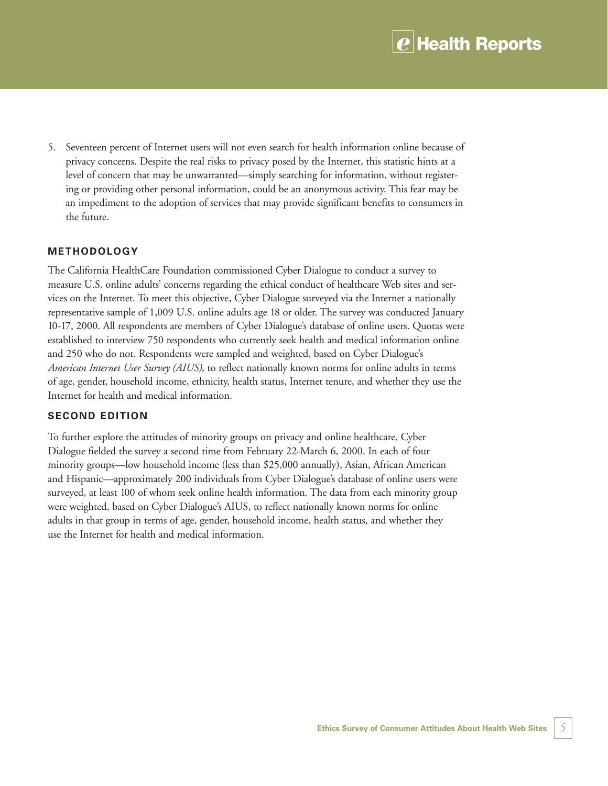5. Seventeen percent of Internet users will not even search for health information online because of privacy concerns. Despite the real risks to privacy posed by the Internet, this statistic hints at a level of concern that may be unwarranted—simply searching for information, without registering or providing other personal information, could be an anonymous activity. This fear may be an impediment to the adoption of services that may provide significant benefits to consumers in the future.

#### **METHODOLOGY**

The California HealthCare Foundation commissioned Cyber Dialogue to conduct a survey to measure U.S. online adults' concerns regarding the ethical conduct of healthcare Web sites and services on the Internet. To meet this objective, Cyber Dialogue surveyed via the Internet a nationally representative sample of 1,009 U.S. online adults age 18 or older. The survey was conducted January 10-17, 2000. All respondents are members of Cyber Dialogue's database of online users. Quotas were established to interview 750 respondents who currently seek health and medical information online and 250 who do not. Respondents were sampled and weighted, based on Cyber Dialogue's *American Internet User Survey (AIUS)*, to reflect nationally known norms for online adults in terms of age, gender, household income, ethnicity, health status, Internet tenure, and whether they use the Internet for health and medical information.

#### **SECOND EDITION**

To further explore the attitudes of minority groups on privacy and online healthcare, Cyber Dialogue fielded the survey a second time from February 22-March 6, 2000. In each of four minority groups—low household income (less than \$25,000 annually), Asian, African American and Hispanic—approximately 200 individuals from Cyber Dialogue's database of online users were surveyed, at least 100 of whom seek online health information. The data from each minority group were weighted, based on Cyber Dialogue's AIUS, to reflect nationally known norms for online adults in that group in terms of age, gender, household income, health status, and whether they use the Internet for health and medical information.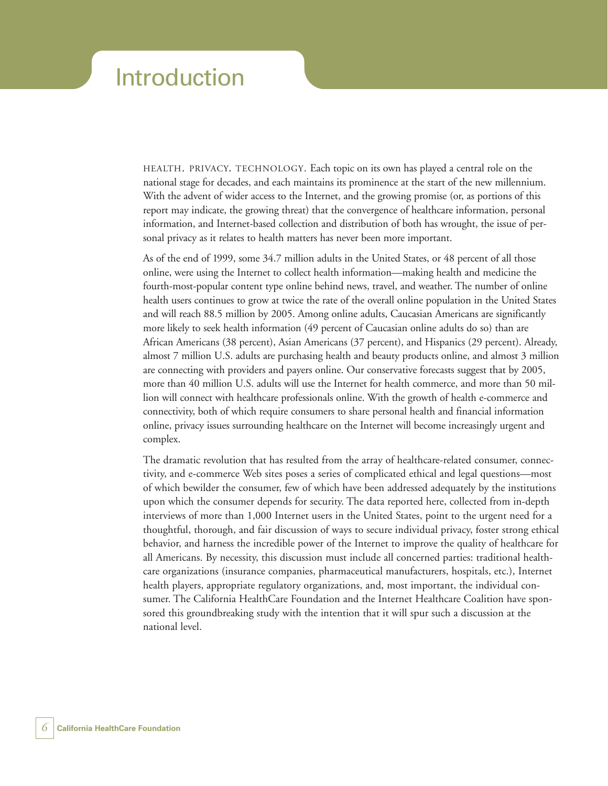### Introduction

HEALTH. PRIVACY. TECHNOLOGY. Each topic on its own has played a central role on the national stage for decades, and each maintains its prominence at the start of the new millennium. With the advent of wider access to the Internet, and the growing promise (or, as portions of this report may indicate, the growing threat) that the convergence of healthcare information, personal information, and Internet-based collection and distribution of both has wrought, the issue of personal privacy as it relates to health matters has never been more important.

As of the end of 1999, some 34.7 million adults in the United States, or 48 percent of all those online, were using the Internet to collect health information—making health and medicine the fourth-most-popular content type online behind news, travel, and weather. The number of online health users continues to grow at twice the rate of the overall online population in the United States and will reach 88.5 million by 2005. Among online adults, Caucasian Americans are significantly more likely to seek health information (49 percent of Caucasian online adults do so) than are African Americans (38 percent), Asian Americans (37 percent), and Hispanics (29 percent). Already, almost 7 million U.S. adults are purchasing health and beauty products online, and almost 3 million are connecting with providers and payers online. Our conservative forecasts suggest that by 2005, more than 40 million U.S. adults will use the Internet for health commerce, and more than 50 million will connect with healthcare professionals online. With the growth of health e-commerce and connectivity, both of which require consumers to share personal health and financial information online, privacy issues surrounding healthcare on the Internet will become increasingly urgent and complex.

The dramatic revolution that has resulted from the array of healthcare-related consumer, connectivity, and e-commerce Web sites poses a series of complicated ethical and legal questions—most of which bewilder the consumer, few of which have been addressed adequately by the institutions upon which the consumer depends for security. The data reported here, collected from in-depth interviews of more than 1,000 Internet users in the United States, point to the urgent need for a thoughtful, thorough, and fair discussion of ways to secure individual privacy, foster strong ethical behavior, and harness the incredible power of the Internet to improve the quality of healthcare for all Americans. By necessity, this discussion must include all concerned parties: traditional healthcare organizations (insurance companies, pharmaceutical manufacturers, hospitals, etc.), Internet health players, appropriate regulatory organizations, and, most important, the individual consumer. The California HealthCare Foundation and the Internet Healthcare Coalition have sponsored this groundbreaking study with the intention that it will spur such a discussion at the national level.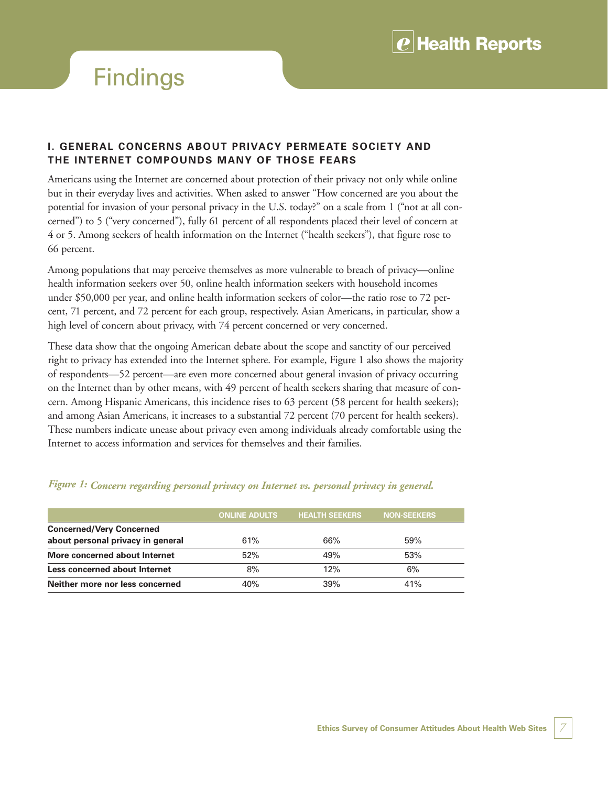

## **Findings**

#### **I. GENERAL CONCERNS ABOUT PRIVACY PERMEATE SOCIETY AND THE INTERNET COMPOUNDS MANY OF THOSE FEARS**

Americans using the Internet are concerned about protection of their privacy not only while online but in their everyday lives and activities. When asked to answer "How concerned are you about the potential for invasion of your personal privacy in the U.S. today?" on a scale from 1 ("not at all concerned") to 5 ("very concerned"), fully 61 percent of all respondents placed their level of concern at 4 or 5. Among seekers of health information on the Internet ("health seekers"), that figure rose to 66 percent.

Among populations that may perceive themselves as more vulnerable to breach of privacy—online health information seekers over 50, online health information seekers with household incomes under \$50,000 per year, and online health information seekers of color—the ratio rose to 72 percent, 71 percent, and 72 percent for each group, respectively. Asian Americans, in particular, show a high level of concern about privacy, with 74 percent concerned or very concerned.

These data show that the ongoing American debate about the scope and sanctity of our perceived right to privacy has extended into the Internet sphere. For example, Figure 1 also shows the majority of respondents—52 percent—are even more concerned about general invasion of privacy occurring on the Internet than by other means, with 49 percent of health seekers sharing that measure of concern. Among Hispanic Americans, this incidence rises to 63 percent (58 percent for health seekers); and among Asian Americans, it increases to a substantial 72 percent (70 percent for health seekers). These numbers indicate unease about privacy even among individuals already comfortable using the Internet to access information and services for themselves and their families.

|                                   | <b>ONLINE ADULTS</b> | <b>HEALTH SEEKERS</b> | <b>NON-SEEKERS</b> |  |
|-----------------------------------|----------------------|-----------------------|--------------------|--|
| <b>Concerned/Very Concerned</b>   |                      |                       |                    |  |
| about personal privacy in general | 61%                  | 66%                   | 59%                |  |
| More concerned about Internet     | 52%                  | 49%                   | 53%                |  |
| Less concerned about Internet     | 8%                   | 12%                   | 6%                 |  |
| Neither more nor less concerned   | 40%                  | 39%                   | 41%                |  |

#### *Figure 1: Concern regarding personal privacy on Internet vs. personal privacy in general.*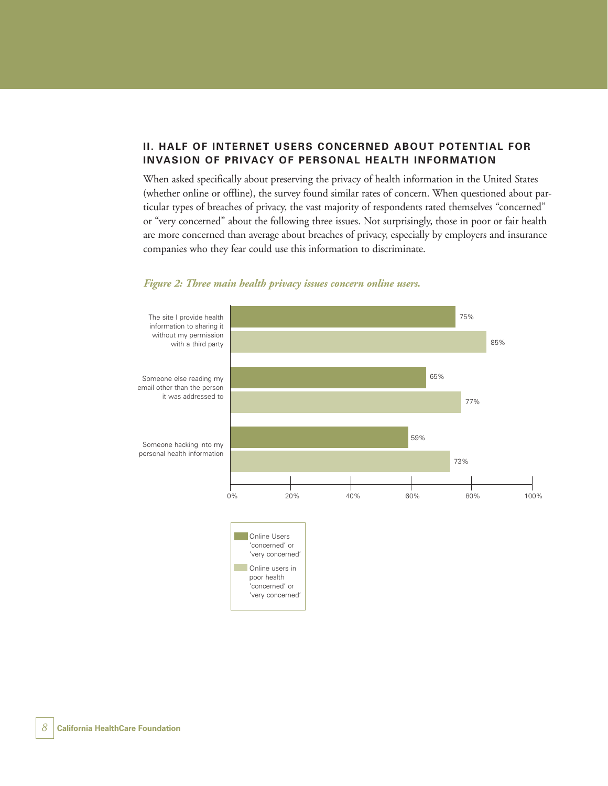#### **II. HALF OF INTERNET USERS CONCERNED ABOUT POTENTIAL FOR INVASION OF PRIVACY OF PERSONAL HEALTH INFORMATION**

When asked specifically about preserving the privacy of health information in the United States (whether online or offline), the survey found similar rates of concern. When questioned about particular types of breaches of privacy, the vast majority of respondents rated themselves "concerned" or "very concerned" about the following three issues. Not surprisingly, those in poor or fair health are more concerned than average about breaches of privacy, especially by employers and insurance companies who they fear could use this information to discriminate.



#### *Figure 2: Three main health privacy issues concern online users.*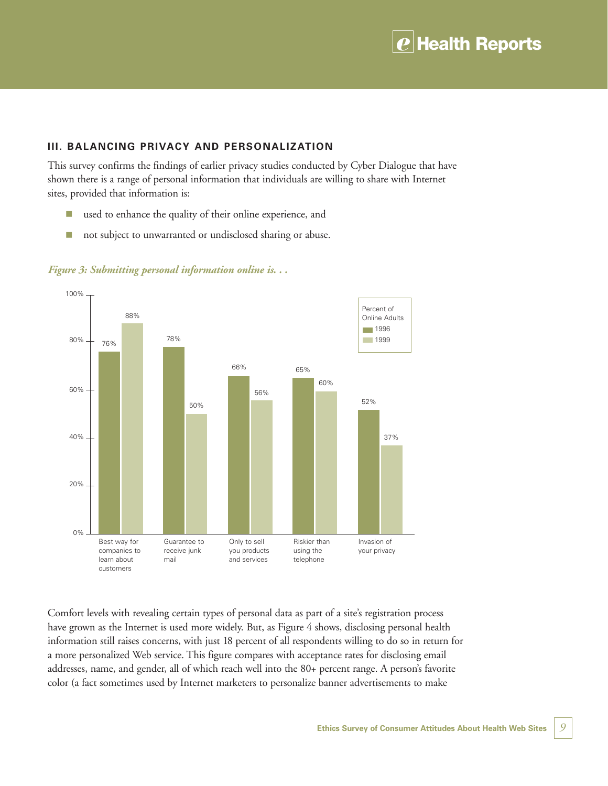

#### **III. BALANCING PRIVACY AND PERSONALIZATION**

This survey confirms the findings of earlier privacy studies conducted by Cyber Dialogue that have shown there is a range of personal information that individuals are willing to share with Internet sites, provided that information is:

- used to enhance the quality of their online experience, and
- not subject to unwarranted or undisclosed sharing or abuse.



*Figure 3: Submitting personal information online is. . .*

Comfort levels with revealing certain types of personal data as part of a site's registration process have grown as the Internet is used more widely. But, as Figure 4 shows, disclosing personal health information still raises concerns, with just 18 percent of all respondents willing to do so in return for a more personalized Web service. This figure compares with acceptance rates for disclosing email addresses, name, and gender, all of which reach well into the 80+ percent range. A person's favorite color (a fact sometimes used by Internet marketers to personalize banner advertisements to make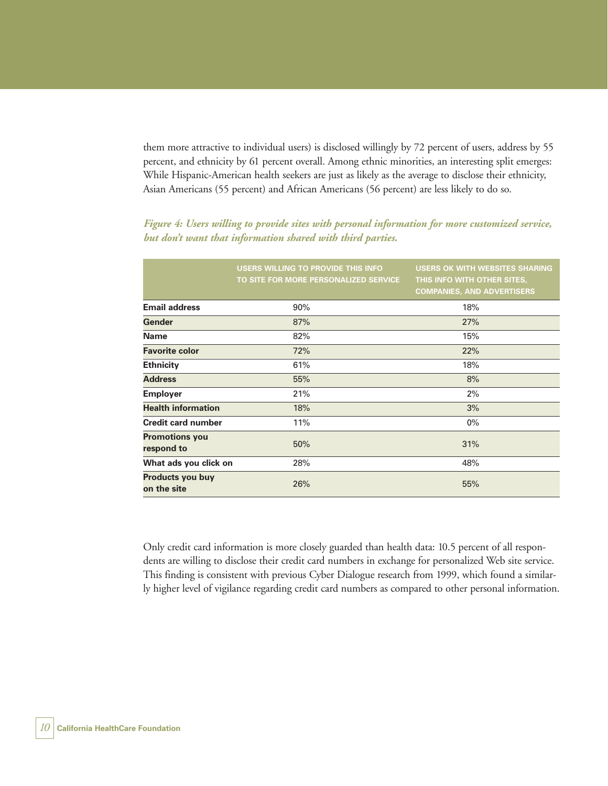them more attractive to individual users) is disclosed willingly by 72 percent of users, address by 55 percent, and ethnicity by 61 percent overall. Among ethnic minorities, an interesting split emerges: While Hispanic-American health seekers are just as likely as the average to disclose their ethnicity, Asian Americans (55 percent) and African Americans (56 percent) are less likely to do so.

|                                     | USERS WILLING TO PROVIDE THIS INFO<br>TO SITE FOR MORE PERSONALIZED SERVICE | <b>USERS OK WITH WEBSITES SHARING</b><br>THIS INFO WITH OTHER SITES,<br><b>COMPANIES, AND ADVERTISERS</b> |
|-------------------------------------|-----------------------------------------------------------------------------|-----------------------------------------------------------------------------------------------------------|
| <b>Email address</b>                | 90%                                                                         | 18%                                                                                                       |
| Gender                              | 87%                                                                         | 27%                                                                                                       |
| Name                                | 82%                                                                         | 15%                                                                                                       |
| <b>Favorite color</b>               | 72%                                                                         | 22%                                                                                                       |
| <b>Ethnicity</b>                    | 61%                                                                         | 18%                                                                                                       |
| <b>Address</b>                      | 55%                                                                         | 8%                                                                                                        |
| <b>Employer</b>                     | 21%                                                                         | 2%                                                                                                        |
| <b>Health information</b>           | 18%                                                                         | 3%                                                                                                        |
| <b>Credit card number</b>           | 11%                                                                         | $0\%$                                                                                                     |
| <b>Promotions you</b><br>respond to | 50%                                                                         | 31%                                                                                                       |
| What ads you click on               | 28%                                                                         | 48%                                                                                                       |
| Products you buy<br>on the site     | 26%                                                                         | 55%                                                                                                       |

*Figure 4: Users willing to provide sites with personal information for more customized service, but don't want that information shared with third parties.*

Only credit card information is more closely guarded than health data: 10.5 percent of all respondents are willing to disclose their credit card numbers in exchange for personalized Web site service. This finding is consistent with previous Cyber Dialogue research from 1999, which found a similarly higher level of vigilance regarding credit card numbers as compared to other personal information.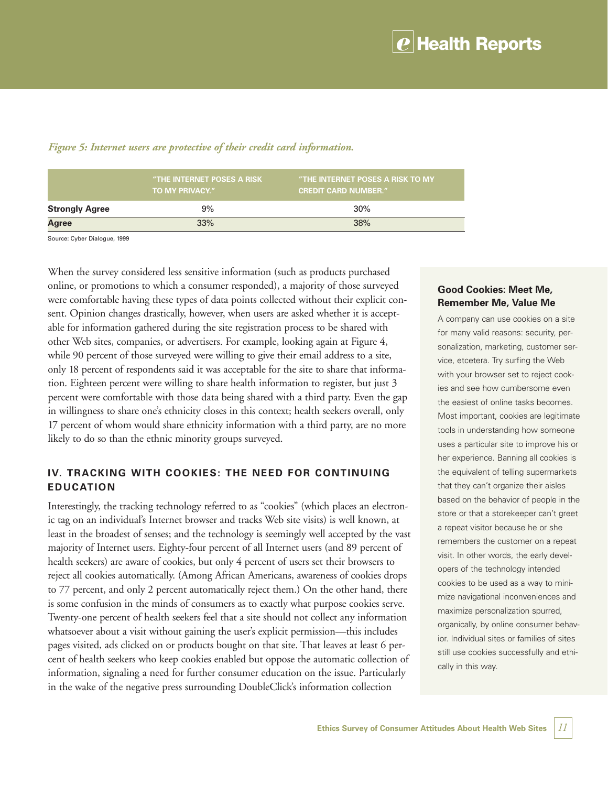|                       | "THE INTERNET POSES A RISK<br><b>TO MY PRIVACY."</b> | "THE INTERNET POSES A RISK TO MY<br><b>CREDIT CARD NUMBER."</b> |
|-----------------------|------------------------------------------------------|-----------------------------------------------------------------|
| <b>Strongly Agree</b> | 9%                                                   | 30%                                                             |
| Agree                 | 33%                                                  | 38%                                                             |

#### *Figure 5: Internet users are protective of their credit card information.*

Source: Cyber Dialogue, 1999

When the survey considered less sensitive information (such as products purchased online, or promotions to which a consumer responded), a majority of those surveyed were comfortable having these types of data points collected without their explicit consent. Opinion changes drastically, however, when users are asked whether it is acceptable for information gathered during the site registration process to be shared with other Web sites, companies, or advertisers. For example, looking again at Figure 4, while 90 percent of those surveyed were willing to give their email address to a site, only 18 percent of respondents said it was acceptable for the site to share that information. Eighteen percent were willing to share health information to register, but just 3 percent were comfortable with those data being shared with a third party. Even the gap in willingness to share one's ethnicity closes in this context; health seekers overall, only 17 percent of whom would share ethnicity information with a third party, are no more likely to do so than the ethnic minority groups surveyed.

#### **IV. TRACKING WITH COOKIES: THE NEED FOR CONTINUING EDUCATION**

Interestingly, the tracking technology referred to as "cookies" (which places an electronic tag on an individual's Internet browser and tracks Web site visits) is well known, at least in the broadest of senses; and the technology is seemingly well accepted by the vast majority of Internet users. Eighty-four percent of all Internet users (and 89 percent of health seekers) are aware of cookies, but only 4 percent of users set their browsers to reject all cookies automatically. (Among African Americans, awareness of cookies drops to 77 percent, and only 2 percent automatically reject them.) On the other hand, there is some confusion in the minds of consumers as to exactly what purpose cookies serve. Twenty-one percent of health seekers feel that a site should not collect any information whatsoever about a visit without gaining the user's explicit permission—this includes pages visited, ads clicked on or products bought on that site. That leaves at least 6 percent of health seekers who keep cookies enabled but oppose the automatic collection of information, signaling a need for further consumer education on the issue. Particularly in the wake of the negative press surrounding DoubleClick's information collection

#### **Good Cookies: Meet Me, Remember Me, Value Me**

A company can use cookies on a site for many valid reasons: security, personalization, marketing, customer service, etcetera. Try surfing the Web with your browser set to reject cookies and see how cumbersome even the easiest of online tasks becomes. Most important, cookies are legitimate tools in understanding how someone uses a particular site to improve his or her experience. Banning all cookies is the equivalent of telling supermarkets that they can't organize their aisles based on the behavior of people in the store or that a storekeeper can't greet a repeat visitor because he or she remembers the customer on a repeat visit. In other words, the early developers of the technology intended cookies to be used as a way to minimize navigational inconveniences and maximize personalization spurred, organically, by online consumer behavior. Individual sites or families of sites still use cookies successfully and ethically in this way.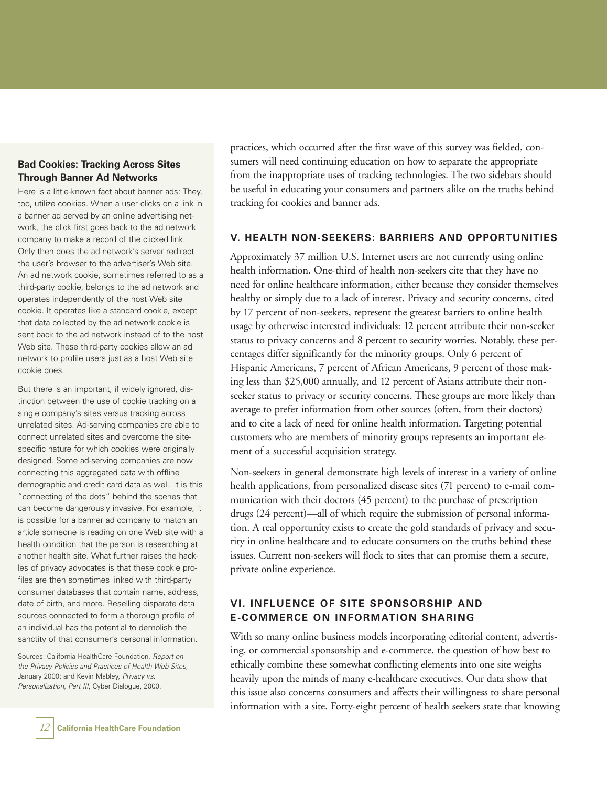#### **Bad Cookies: Tracking Across Sites Through Banner Ad Networks**

Here is a little-known fact about banner ads: They, too, utilize cookies. When a user clicks on a link in a banner ad served by an online advertising network, the click first goes back to the ad network company to make a record of the clicked link. Only then does the ad network's server redirect the user's browser to the advertiser's Web site. An ad network cookie, sometimes referred to as a third-party cookie, belongs to the ad network and operates independently of the host Web site cookie. It operates like a standard cookie, except that data collected by the ad network cookie is sent back to the ad network instead of to the host Web site. These third-party cookies allow an ad network to profile users just as a host Web site cookie does.

But there is an important, if widely ignored, distinction between the use of cookie tracking on a single company's sites versus tracking across unrelated sites. Ad-serving companies are able to connect unrelated sites and overcome the sitespecific nature for which cookies were originally designed. Some ad-serving companies are now connecting this aggregated data with offline demographic and credit card data as well. It is this "connecting of the dots" behind the scenes that can become dangerously invasive. For example, it is possible for a banner ad company to match an article someone is reading on one Web site with a health condition that the person is researching at another health site. What further raises the hackles of privacy advocates is that these cookie profiles are then sometimes linked with third-party consumer databases that contain name, address, date of birth, and more. Reselling disparate data sources connected to form a thorough profile of an individual has the potential to demolish the sanctity of that consumer's personal information.

Sources: California HealthCare Foundation, Report on the Privacy Policies and Practices of Health Web Sites, January 2000; and Kevin Mabley, Privacy vs. Personalization, Part III, Cyber Dialogue, 2000.

practices, which occurred after the first wave of this survey was fielded, consumers will need continuing education on how to separate the appropriate from the inappropriate uses of tracking technologies. The two sidebars should be useful in educating your consumers and partners alike on the truths behind tracking for cookies and banner ads.

#### **V. HEALTH NON-SEEKERS: BARRIERS AND OPPORTUNITIES**

Approximately 37 million U.S. Internet users are not currently using online health information. One-third of health non-seekers cite that they have no need for online healthcare information, either because they consider themselves healthy or simply due to a lack of interest. Privacy and security concerns, cited by 17 percent of non-seekers, represent the greatest barriers to online health usage by otherwise interested individuals: 12 percent attribute their non-seeker status to privacy concerns and 8 percent to security worries. Notably, these percentages differ significantly for the minority groups. Only 6 percent of Hispanic Americans, 7 percent of African Americans, 9 percent of those making less than \$25,000 annually, and 12 percent of Asians attribute their nonseeker status to privacy or security concerns. These groups are more likely than average to prefer information from other sources (often, from their doctors) and to cite a lack of need for online health information. Targeting potential customers who are members of minority groups represents an important element of a successful acquisition strategy.

Non-seekers in general demonstrate high levels of interest in a variety of online health applications, from personalized disease sites (71 percent) to e-mail communication with their doctors (45 percent) to the purchase of prescription drugs (24 percent)—all of which require the submission of personal information. A real opportunity exists to create the gold standards of privacy and security in online healthcare and to educate consumers on the truths behind these issues. Current non-seekers will flock to sites that can promise them a secure, private online experience.

#### **VI. INFLUENCE OF SITE SPONSORSHIP AND E-COMMERCE ON INFORMATION SHARING**

With so many online business models incorporating editorial content, advertising, or commercial sponsorship and e-commerce, the question of how best to ethically combine these somewhat conflicting elements into one site weighs heavily upon the minds of many e-healthcare executives. Our data show that this issue also concerns consumers and affects their willingness to share personal information with a site. Forty-eight percent of health seekers state that knowing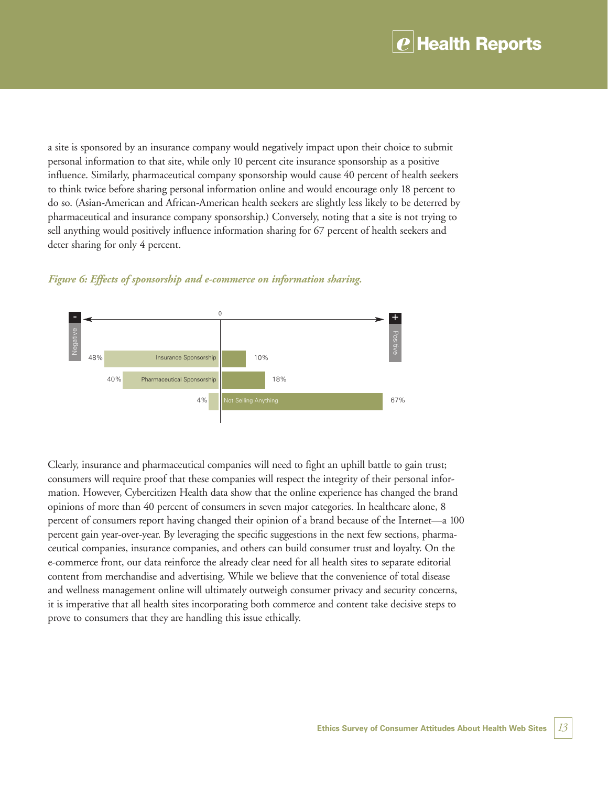### **Health Reports**

a site is sponsored by an insurance company would negatively impact upon their choice to submit personal information to that site, while only 10 percent cite insurance sponsorship as a positive influence. Similarly, pharmaceutical company sponsorship would cause 40 percent of health seekers to think twice before sharing personal information online and would encourage only 18 percent to do so. (Asian-American and African-American health seekers are slightly less likely to be deterred by pharmaceutical and insurance company sponsorship.) Conversely, noting that a site is not trying to sell anything would positively influence information sharing for 67 percent of health seekers and deter sharing for only 4 percent.





Clearly, insurance and pharmaceutical companies will need to fight an uphill battle to gain trust; consumers will require proof that these companies will respect the integrity of their personal information. However, Cybercitizen Health data show that the online experience has changed the brand opinions of more than 40 percent of consumers in seven major categories. In healthcare alone, 8 percent of consumers report having changed their opinion of a brand because of the Internet—a 100 percent gain year-over-year. By leveraging the specific suggestions in the next few sections, pharmaceutical companies, insurance companies, and others can build consumer trust and loyalty. On the e-commerce front, our data reinforce the already clear need for all health sites to separate editorial content from merchandise and advertising. While we believe that the convenience of total disease and wellness management online will ultimately outweigh consumer privacy and security concerns, it is imperative that all health sites incorporating both commerce and content take decisive steps to prove to consumers that they are handling this issue ethically.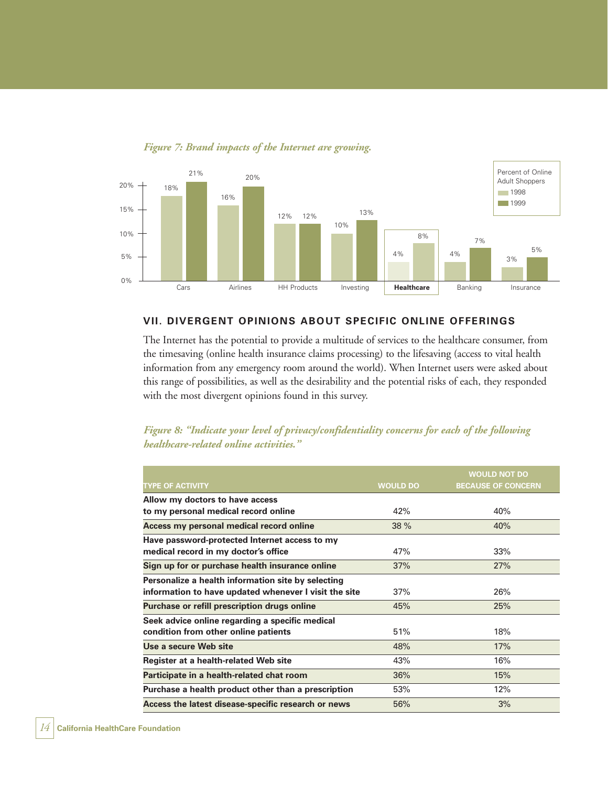

*Figure 7: Brand impacts of the Internet are growing.*

#### **VII. DIVERGENT OPINIONS ABOUT SPECIFIC ONLINE OFFERINGS**

The Internet has the potential to provide a multitude of services to the healthcare consumer, from the timesaving (online health insurance claims processing) to the lifesaving (access to vital health information from any emergency room around the world). When Internet users were asked about this range of possibilities, as well as the desirability and the potential risks of each, they responded with the most divergent opinions found in this survey.

*Figure 8: "Indicate your level of privacy/confidentiality concerns for each of the following healthcare-related online activities."*

|                                                       |                 | <b>WOULD NOT DO</b>       |
|-------------------------------------------------------|-----------------|---------------------------|
| <b>TYPE OF ACTIVITY</b>                               | <b>WOULD DO</b> | <b>BECAUSE OF CONCERN</b> |
| Allow my doctors to have access                       |                 |                           |
| to my personal medical record online                  | 42%             | 40%                       |
| Access my personal medical record online              | 38 %            | 40%                       |
| Have password-protected Internet access to my         |                 |                           |
| medical record in my doctor's office                  | 47%             | 33%                       |
| Sign up for or purchase health insurance online       | 37%             | 27%                       |
| Personalize a health information site by selecting    |                 |                           |
| information to have updated whenever I visit the site | 37%             | 26%                       |
| Purchase or refill prescription drugs online          | 45%             | 25%                       |
| Seek advice online regarding a specific medical       |                 |                           |
| condition from other online patients                  | 51%             | 18%                       |
| Use a secure Web site                                 | 48%             | 17%                       |
| Register at a health-related Web site                 | 43%             | 16%                       |
| Participate in a health-related chat room             | 36%             | 15%                       |
| Purchase a health product other than a prescription   | 53%             | 12%                       |
| Access the latest disease-specific research or news   | 56%             | 3%                        |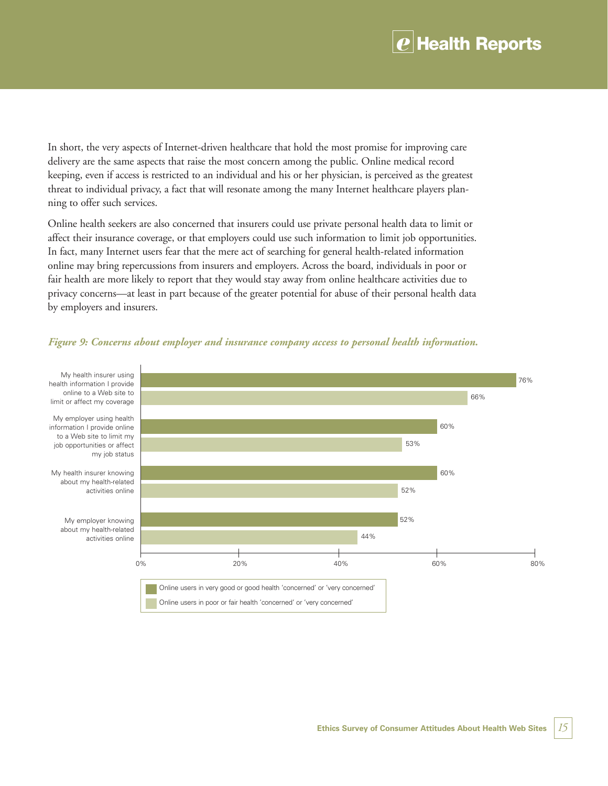### *e* **Health Reports**

In short, the very aspects of Internet-driven healthcare that hold the most promise for improving care delivery are the same aspects that raise the most concern among the public. Online medical record keeping, even if access is restricted to an individual and his or her physician, is perceived as the greatest threat to individual privacy, a fact that will resonate among the many Internet healthcare players planning to offer such services.

Online health seekers are also concerned that insurers could use private personal health data to limit or affect their insurance coverage, or that employers could use such information to limit job opportunities. In fact, many Internet users fear that the mere act of searching for general health-related information online may bring repercussions from insurers and employers. Across the board, individuals in poor or fair health are more likely to report that they would stay away from online healthcare activities due to privacy concerns—at least in part because of the greater potential for abuse of their personal health data by employers and insurers.



#### *Figure 9: Concerns about employer and insurance company access to personal health information.*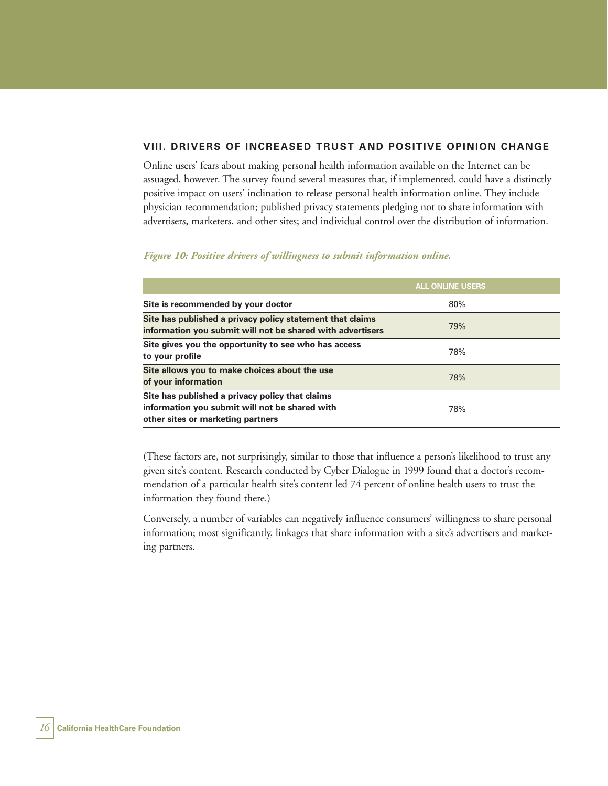#### **VIII. DRIVERS OF INCREASED TRUST AND POSITIVE OPINION CHANGE**

Online users' fears about making personal health information available on the Internet can be assuaged, however. The survey found several measures that, if implemented, could have a distinctly positive impact on users' inclination to release personal health information online. They include physician recommendation; published privacy statements pledging not to share information with advertisers, marketers, and other sites; and individual control over the distribution of information.

#### *Figure 10: Positive drivers of willingness to submit information online.*

|                                                                                                                                        | <b>ALL ONLINE USERS</b> |
|----------------------------------------------------------------------------------------------------------------------------------------|-------------------------|
| Site is recommended by your doctor                                                                                                     | 80%                     |
| Site has published a privacy policy statement that claims<br>information you submit will not be shared with advertisers                | 79%                     |
| Site gives you the opportunity to see who has access<br>to your profile                                                                | 78%                     |
| Site allows you to make choices about the use<br>of your information                                                                   | 78%                     |
| Site has published a privacy policy that claims<br>information you submit will not be shared with<br>other sites or marketing partners | 78%                     |

(These factors are, not surprisingly, similar to those that influence a person's likelihood to trust any given site's content. Research conducted by Cyber Dialogue in 1999 found that a doctor's recommendation of a particular health site's content led 74 percent of online health users to trust the information they found there.)

Conversely, a number of variables can negatively influence consumers' willingness to share personal information; most significantly, linkages that share information with a site's advertisers and marketing partners.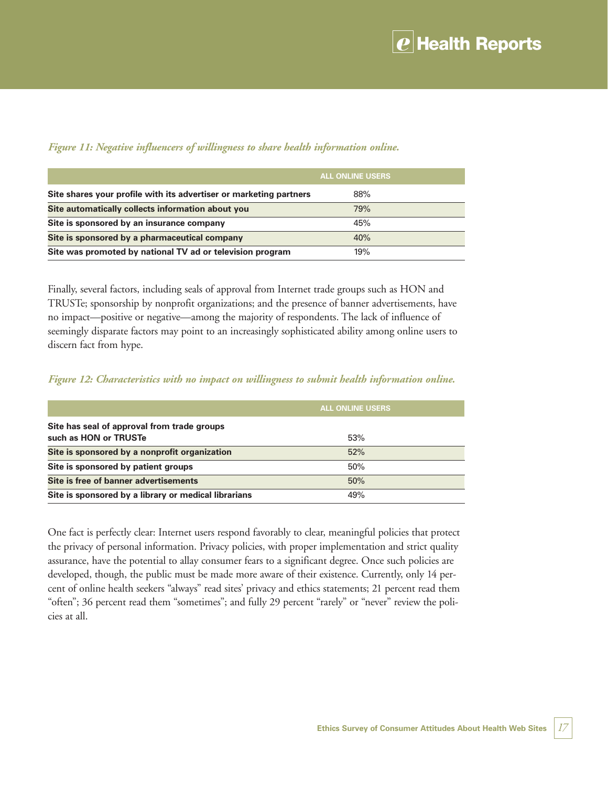|                                                                    | <b>ALL ONLINE USERS</b> |  |
|--------------------------------------------------------------------|-------------------------|--|
| Site shares your profile with its advertiser or marketing partners | 88%                     |  |
| Site automatically collects information about you                  | 79%                     |  |
| Site is sponsored by an insurance company                          | 45%                     |  |
| Site is sponsored by a pharmaceutical company                      | 40%                     |  |
| Site was promoted by national TV ad or television program          | 19%                     |  |

#### *Figure 11: Negative influencers of willingness to share health information online.*

Finally, several factors, including seals of approval from Internet trade groups such as HON and TRUSTe; sponsorship by nonprofit organizations; and the presence of banner advertisements, have no impact—positive or negative—among the majority of respondents. The lack of influence of seemingly disparate factors may point to an increasingly sophisticated ability among online users to discern fact from hype.

#### *Figure 12: Characteristics with no impact on willingness to submit health information online.*

|                                                                      | <b>ALL ONLINE USERS</b> |
|----------------------------------------------------------------------|-------------------------|
| Site has seal of approval from trade groups<br>such as HON or TRUSTe | 53%                     |
| Site is sponsored by a nonprofit organization                        | 52%                     |
| Site is sponsored by patient groups                                  | 50%                     |
| Site is free of banner advertisements                                | 50%                     |
| Site is sponsored by a library or medical librarians                 | 49%                     |

One fact is perfectly clear: Internet users respond favorably to clear, meaningful policies that protect the privacy of personal information. Privacy policies, with proper implementation and strict quality assurance, have the potential to allay consumer fears to a significant degree. Once such policies are developed, though, the public must be made more aware of their existence. Currently, only 14 percent of online health seekers "always" read sites' privacy and ethics statements; 21 percent read them "often"; 36 percent read them "sometimes"; and fully 29 percent "rarely" or "never" review the policies at all.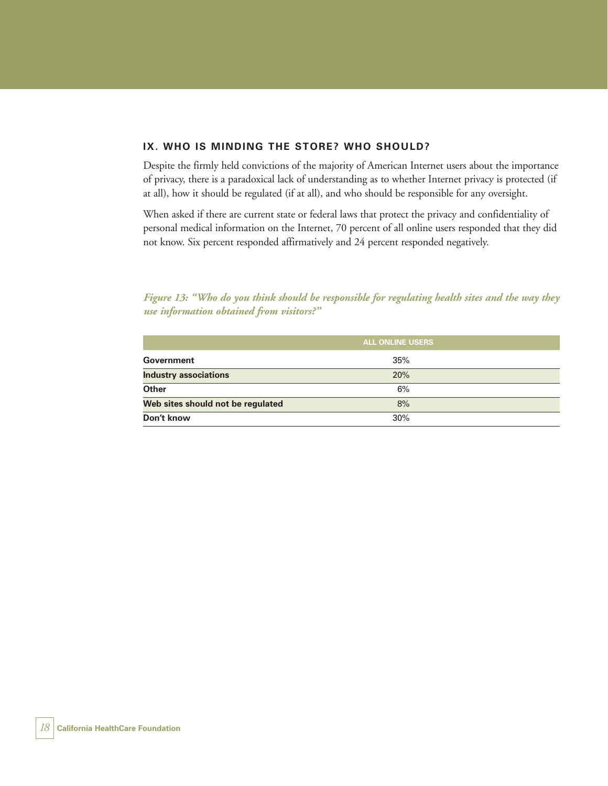#### **IX. WHO IS MINDING THE STORE? WHO SHOULD?**

Despite the firmly held convictions of the majority of American Internet users about the importance of privacy, there is a paradoxical lack of understanding as to whether Internet privacy is protected (if at all), how it should be regulated (if at all), and who should be responsible for any oversight.

When asked if there are current state or federal laws that protect the privacy and confidentiality of personal medical information on the Internet, 70 percent of all online users responded that they did not know. Six percent responded affirmatively and 24 percent responded negatively.

*Figure 13: "Who do you think should be responsible for regulating health sites and the way they use information obtained from visitors?"*

|                                   | <b>ALL ONLINE USERS</b> |  |
|-----------------------------------|-------------------------|--|
| Government                        | 35%                     |  |
| <b>Industry associations</b>      | 20%                     |  |
| <b>Other</b>                      | 6%                      |  |
| Web sites should not be regulated | 8%                      |  |
| Don't know                        | 30%                     |  |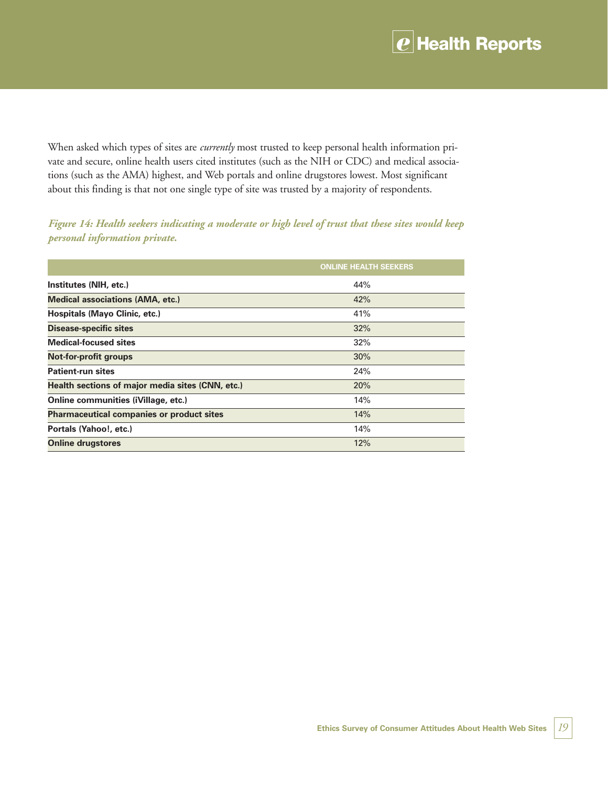## *e* **Health Reports**

When asked which types of sites are *currently* most trusted to keep personal health information private and secure, online health users cited institutes (such as the NIH or CDC) and medical associations (such as the AMA) highest, and Web portals and online drugstores lowest. Most significant about this finding is that not one single type of site was trusted by a majority of respondents.

*Figure 14: Health seekers indicating a moderate or high level of trust that these sites would keep personal information private.*

|                                                  | <b>ONLINE HEALTH SEEKERS</b> |
|--------------------------------------------------|------------------------------|
| Institutes (NIH, etc.)                           | 44%                          |
| <b>Medical associations (AMA, etc.)</b>          | 42%                          |
| <b>Hospitals (Mayo Clinic, etc.)</b>             | 41%                          |
| <b>Disease-specific sites</b>                    | 32%                          |
| <b>Medical-focused sites</b>                     | 32%                          |
| <b>Not-for-profit groups</b>                     | 30%                          |
| <b>Patient-run sites</b>                         | 24%                          |
| Health sections of major media sites (CNN, etc.) | 20%                          |
| Online communities (iVillage, etc.)              | 14%                          |
| <b>Pharmaceutical companies or product sites</b> | 14%                          |
| Portals (Yahoo!, etc.)                           | 14%                          |
| <b>Online drugstores</b>                         | 12%                          |